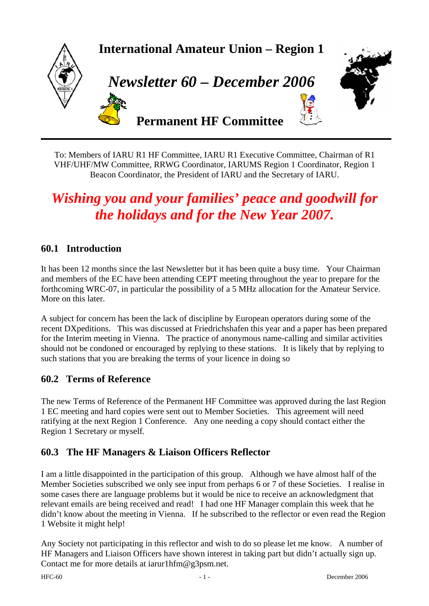

To: Members of IARU R1 HF Committee, IARU R1 Executive Committee, Chairman of R1 VHF/UHF/MW Committee, RRWG Coordinator, IARUMS Region 1 Coordinator, Region 1 Beacon Coordinator, the President of IARU and the Secretary of IARU.

# *Wishing you and your families' peace and goodwill for the holidays and for the New Year 2007.*

# **60.1 Introduction**

It has been 12 months since the last Newsletter but it has been quite a busy time. Your Chairman and members of the EC have been attending CEPT meeting throughout the year to prepare for the forthcoming WRC-07, in particular the possibility of a 5 MHz allocation for the Amateur Service. More on this later.

A subject for concern has been the lack of discipline by European operators during some of the recent DXpeditions. This was discussed at Friedrichshafen this year and a paper has been prepared for the Interim meeting in Vienna. The practice of anonymous name-calling and similar activities should not be condoned or encouraged by replying to these stations. It is likely that by replying to such stations that you are breaking the terms of your licence in doing so

#### **60.2 Terms of Reference**

The new Terms of Reference of the Permanent HF Committee was approved during the last Region 1 EC meeting and hard copies were sent out to Member Societies. This agreement will need ratifying at the next Region 1 Conference. Any one needing a copy should contact either the Region 1 Secretary or myself.

# **60.3 The HF Managers & Liaison Officers Reflector**

I am a little disappointed in the participation of this group. Although we have almost half of the Member Societies subscribed we only see input from perhaps 6 or 7 of these Societies. I realise in some cases there are language problems but it would be nice to receive an acknowledgment that relevant emails are being received and read! I had one HF Manager complain this week that he didn't know about the meeting in Vienna. If he subscribed to the reflector or even read the Region 1 Website it might help!

Any Society not participating in this reflector and wish to do so please let me know. A number of HF Managers and Liaison Officers have shown interest in taking part but didn't actually sign up. Contact me for more details at iarur1hfm@g3psm.net.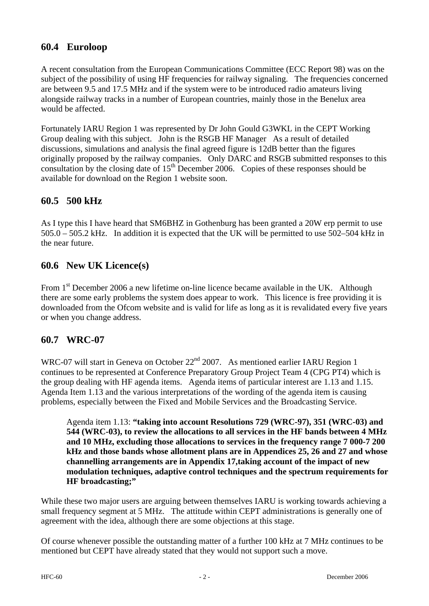# **60.4 Euroloop**

A recent consultation from the European Communications Committee (ECC Report 98) was on the subject of the possibility of using HF frequencies for railway signaling. The frequencies concerned are between 9.5 and 17.5 MHz and if the system were to be introduced radio amateurs living alongside railway tracks in a number of European countries, mainly those in the Benelux area would be affected.

Fortunately IARU Region 1 was represented by Dr John Gould G3WKL in the CEPT Working Group dealing with this subject. John is the RSGB HF Manager As a result of detailed discussions, simulations and analysis the final agreed figure is 12dB better than the figures originally proposed by the railway companies. Only DARC and RSGB submitted responses to this consultation by the closing date of  $15<sup>th</sup>$  December 2006. Copies of these responses should be available for download on the Region 1 website soon.

# **60.5 500 kHz**

As I type this I have heard that SM6BHZ in Gothenburg has been granted a 20W erp permit to use 505.0 – 505.2 kHz. In addition it is expected that the UK will be permitted to use 502–504 kHz in the near future.

# **60.6 New UK Licence(s)**

From 1<sup>st</sup> December 2006 a new lifetime on-line licence became available in the UK. Although there are some early problems the system does appear to work. This licence is free providing it is downloaded from the Ofcom website and is valid for life as long as it is revalidated every five years or when you change address.

# **60.7 WRC-07**

WRC-07 will start in Geneva on October  $22<sup>nd</sup>$  2007. As mentioned earlier IARU Region 1 continues to be represented at Conference Preparatory Group Project Team 4 (CPG PT4) which is the group dealing with HF agenda items. Agenda items of particular interest are 1.13 and 1.15. Agenda Item 1.13 and the various interpretations of the wording of the agenda item is causing problems, especially between the Fixed and Mobile Services and the Broadcasting Service.

Agenda item 1.13: **"taking into account Resolutions 729 (WRC-97), 351 (WRC-03) and 544 (WRC-03), to review the allocations to all services in the HF bands between 4 MHz and 10 MHz, excluding those allocations to services in the frequency range 7 000-7 200 kHz and those bands whose allotment plans are in Appendices 25, 26 and 27 and whose channelling arrangements are in Appendix 17,taking account of the impact of new modulation techniques, adaptive control techniques and the spectrum requirements for HF broadcasting;"** 

While these two major users are arguing between themselves IARU is working towards achieving a small frequency segment at 5 MHz. The attitude within CEPT administrations is generally one of agreement with the idea, although there are some objections at this stage.

Of course whenever possible the outstanding matter of a further 100 kHz at 7 MHz continues to be mentioned but CEPT have already stated that they would not support such a move.